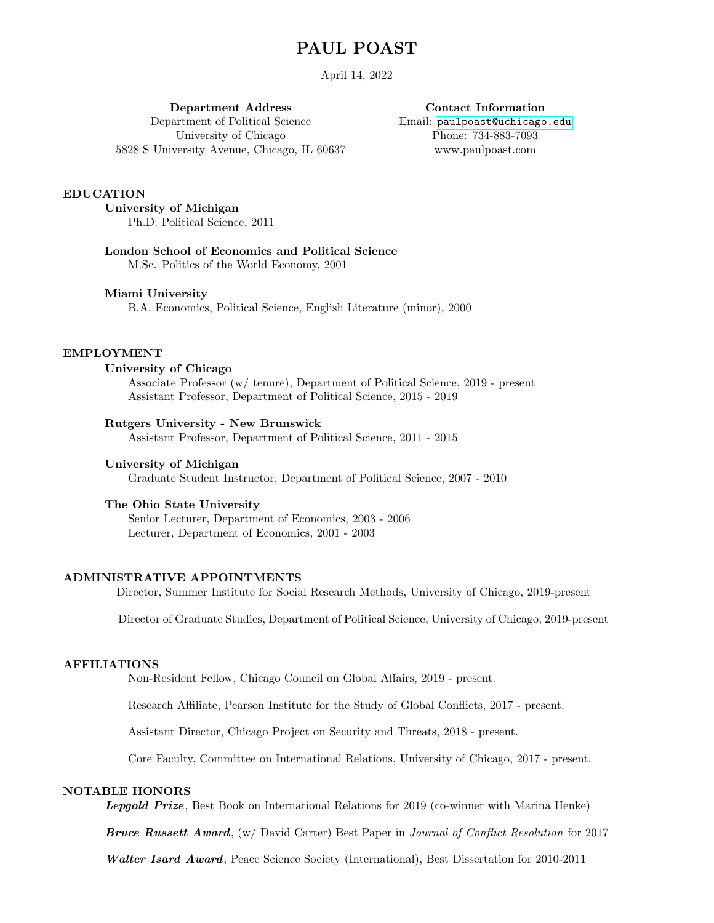# PAUL POAST

April 14, 2022

Department Address Department of Political Science University of Chicago 5828 S University Avenue, Chicago, IL 60637

Contact Information Email: [paulpoast@uchicago.edu](mailto:paul.poast@rutgers.edu) Phone: 734-883-7093 www.paulpoast.com

#### EDUCATION

University of Michigan Ph.D. Political Science, 2011

London School of Economics and Political Science M.Sc. Politics of the World Economy, 2001

### Miami University

B.A. Economics, Political Science, English Literature (minor), 2000

# EMPLOYMENT

## University of Chicago

Associate Professor (w/ tenure), Department of Political Science, 2019 - present Assistant Professor, Department of Political Science, 2015 - 2019

### Rutgers University - New Brunswick

Assistant Professor, Department of Political Science, 2011 - 2015

#### University of Michigan

Graduate Student Instructor, Department of Political Science, 2007 - 2010

### The Ohio State University

Senior Lecturer, Department of Economics, 2003 - 2006 Lecturer, Department of Economics, 2001 - 2003

### ADMINISTRATIVE APPOINTMENTS

Director, Summer Institute for Social Research Methods, University of Chicago, 2019-present

Director of Graduate Studies, Department of Political Science, University of Chicago, 2019-present

### AFFILIATIONS

Non-Resident Fellow, Chicago Council on Global Affairs, 2019 - present.

Research Affiliate, Pearson Institute for the Study of Global Conflicts, 2017 - present.

Assistant Director, Chicago Project on Security and Threats, 2018 - present.

Core Faculty, Committee on International Relations, University of Chicago, 2017 - present.

## NOTABLE HONORS

Lepgold Prize, Best Book on International Relations for 2019 (co-winner with Marina Henke)

Bruce Russett Award,  $(w)$  David Carter) Best Paper in Journal of Conflict Resolution for 2017

Walter Isard Award, Peace Science Society (International), Best Dissertation for 2010-2011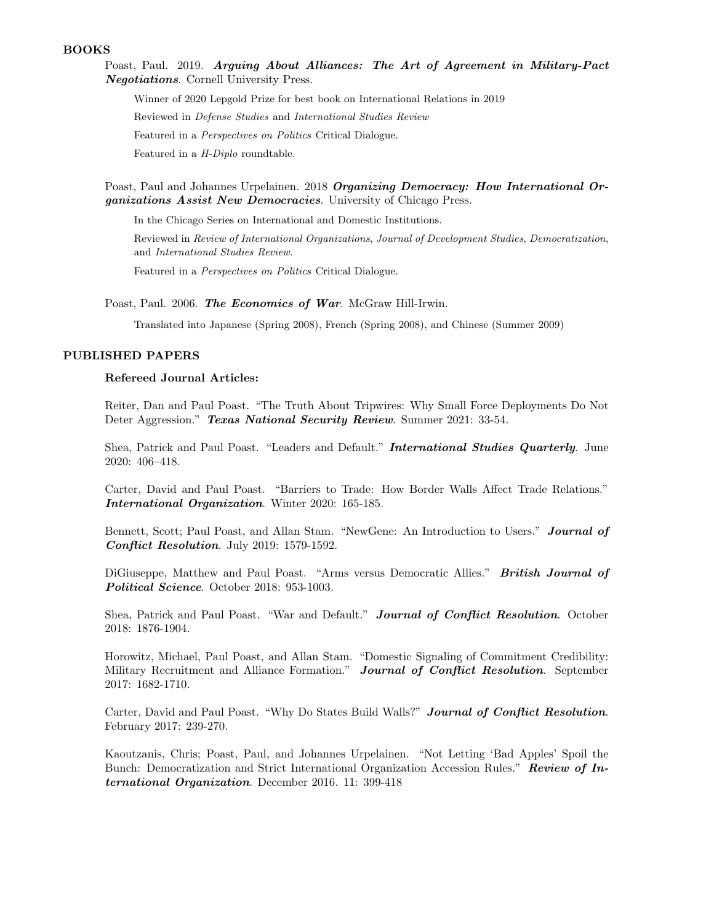### BOOKS

Poast, Paul. 2019. Arguing About Alliances: The Art of Agreement in Military-Pact Negotiations. Cornell University Press.

Winner of 2020 Lepgold Prize for best book on International Relations in 2019

Reviewed in Defense Studies and International Studies Review

Featured in a Perspectives on Politics Critical Dialogue.

Featured in a H-Diplo roundtable.

Poast, Paul and Johannes Urpelainen. 2018 Organizing Democracy: How International Organizations Assist New Democracies. University of Chicago Press.

In the Chicago Series on International and Domestic Institutions.

Reviewed in Review of International Organizations, Journal of Development Studies, Democratization, and International Studies Review.

Featured in a Perspectives on Politics Critical Dialogue.

Poast, Paul. 2006. The Economics of War. McGraw Hill-Irwin.

Translated into Japanese (Spring 2008), French (Spring 2008), and Chinese (Summer 2009)

# PUBLISHED PAPERS

#### Refereed Journal Articles:

Reiter, Dan and Paul Poast. "The Truth About Tripwires: Why Small Force Deployments Do Not Deter Aggression." Texas National Security Review. Summer 2021: 33-54.

Shea, Patrick and Paul Poast. "Leaders and Default." International Studies Quarterly. June 2020: 406–418.

Carter, David and Paul Poast. "Barriers to Trade: How Border Walls Affect Trade Relations." International Organization. Winter 2020: 165-185.

Bennett, Scott; Paul Poast, and Allan Stam. "NewGene: An Introduction to Users." Journal of Conflict Resolution. July 2019: 1579-1592.

DiGiuseppe, Matthew and Paul Poast. "Arms versus Democratic Allies." British Journal of Political Science. October 2018: 953-1003.

Shea, Patrick and Paul Poast. "War and Default." Journal of Conflict Resolution. October 2018: 1876-1904.

Horowitz, Michael, Paul Poast, and Allan Stam. "Domestic Signaling of Commitment Credibility: Military Recruitment and Alliance Formation." Journal of Conflict Resolution. September 2017: 1682-1710.

Carter, David and Paul Poast. "Why Do States Build Walls?" Journal of Conflict Resolution. February 2017: 239-270.

Kaoutzanis, Chris; Poast, Paul, and Johannes Urpelainen. "Not Letting 'Bad Apples' Spoil the Bunch: Democratization and Strict International Organization Accession Rules." Review of International Organization. December 2016. 11: 399-418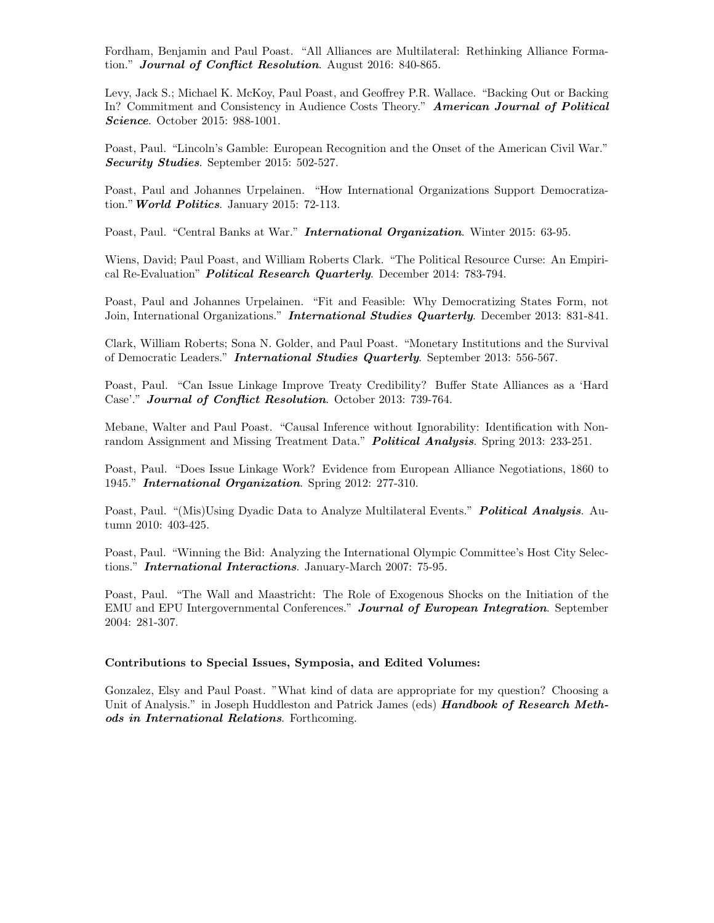Fordham, Benjamin and Paul Poast. "All Alliances are Multilateral: Rethinking Alliance Formation." Journal of Conflict Resolution. August 2016: 840-865.

Levy, Jack S.; Michael K. McKoy, Paul Poast, and Geoffrey P.R. Wallace. "Backing Out or Backing In? Commitment and Consistency in Audience Costs Theory." American Journal of Political Science. October 2015: 988-1001.

Poast, Paul. "Lincoln's Gamble: European Recognition and the Onset of the American Civil War." Security Studies. September 2015: 502-527.

Poast, Paul and Johannes Urpelainen. "How International Organizations Support Democratization." World Politics. January 2015: 72-113.

Poast, Paul. "Central Banks at War." **International Organization**. Winter 2015: 63-95.

Wiens, David; Paul Poast, and William Roberts Clark. "The Political Resource Curse: An Empirical Re-Evaluation" *Political Research Quarterly.* December 2014: 783-794.

Poast, Paul and Johannes Urpelainen. "Fit and Feasible: Why Democratizing States Form, not Join, International Organizations." **International Studies Quarterly.** December 2013: 831-841.

Clark, William Roberts; Sona N. Golder, and Paul Poast. "Monetary Institutions and the Survival of Democratic Leaders." International Studies Quarterly. September 2013: 556-567.

Poast, Paul. "Can Issue Linkage Improve Treaty Credibility? Buffer State Alliances as a 'Hard Case'." Journal of Conflict Resolution. October 2013: 739-764.

Mebane, Walter and Paul Poast. "Causal Inference without Ignorability: Identification with Nonrandom Assignment and Missing Treatment Data." **Political Analysis**. Spring 2013: 233-251.

Poast, Paul. "Does Issue Linkage Work? Evidence from European Alliance Negotiations, 1860 to 1945." International Organization. Spring 2012: 277-310.

Poast, Paul. "(Mis)Using Dyadic Data to Analyze Multilateral Events." Political Analysis. Autumn 2010: 403-425.

Poast, Paul. "Winning the Bid: Analyzing the International Olympic Committee's Host City Selections." **International Interactions**. January-March 2007: 75-95.

Poast, Paul. "The Wall and Maastricht: The Role of Exogenous Shocks on the Initiation of the EMU and EPU Intergovernmental Conferences." Journal of European Integration. September 2004: 281-307.

#### Contributions to Special Issues, Symposia, and Edited Volumes:

Gonzalez, Elsy and Paul Poast. "What kind of data are appropriate for my question? Choosing a Unit of Analysis." in Joseph Huddleston and Patrick James (eds) **Handbook of Research Meth**ods in International Relations. Forthcoming.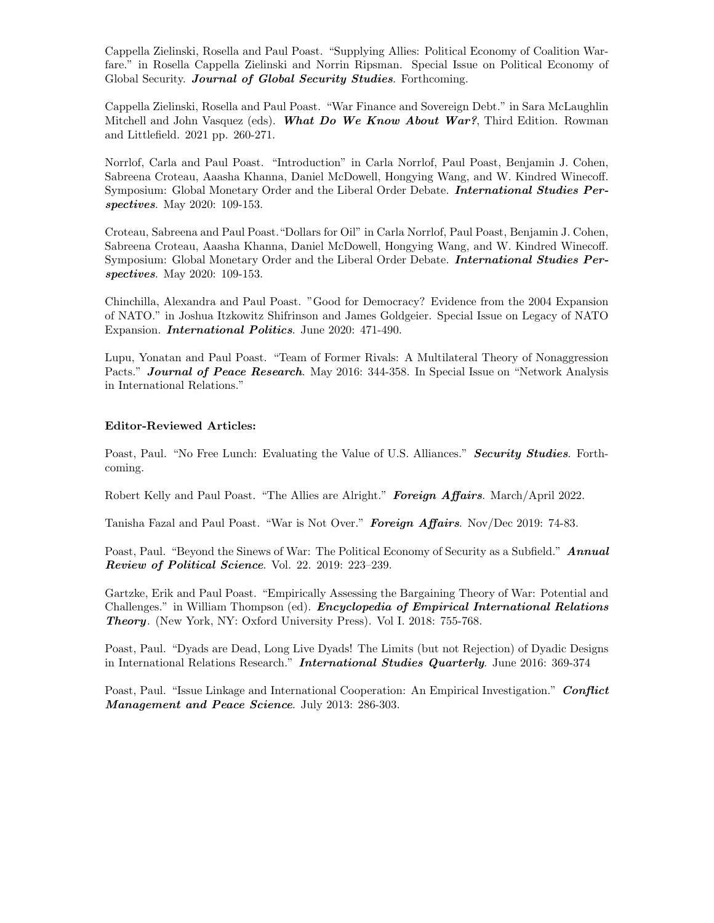Cappella Zielinski, Rosella and Paul Poast. "Supplying Allies: Political Economy of Coalition Warfare." in Rosella Cappella Zielinski and Norrin Ripsman. Special Issue on Political Economy of Global Security. Journal of Global Security Studies. Forthcoming.

Cappella Zielinski, Rosella and Paul Poast. "War Finance and Sovereign Debt." in Sara McLaughlin Mitchell and John Vasquez (eds). What Do We Know About War?, Third Edition. Rowman and Littlefield. 2021 pp. 260-271.

Norrlof, Carla and Paul Poast. "Introduction" in Carla Norrlof, Paul Poast, Benjamin J. Cohen, Sabreena Croteau, Aaasha Khanna, Daniel McDowell, Hongying Wang, and W. Kindred Winecoff. Symposium: Global Monetary Order and the Liberal Order Debate. **International Studies Per**spectives. May 2020: 109-153.

Croteau, Sabreena and Paul Poast."Dollars for Oil" in Carla Norrlof, Paul Poast, Benjamin J. Cohen, Sabreena Croteau, Aaasha Khanna, Daniel McDowell, Hongying Wang, and W. Kindred Winecoff. Symposium: Global Monetary Order and the Liberal Order Debate. **International Studies Per**spectives. May 2020: 109-153.

Chinchilla, Alexandra and Paul Poast. "Good for Democracy? Evidence from the 2004 Expansion of NATO." in Joshua Itzkowitz Shifrinson and James Goldgeier. Special Issue on Legacy of NATO Expansion. **International Politics**. June 2020: 471-490.

Lupu, Yonatan and Paul Poast. "Team of Former Rivals: A Multilateral Theory of Nonaggression Pacts." **Journal of Peace Research**. May 2016: 344-358. In Special Issue on "Network Analysis" in International Relations."

## Editor-Reviewed Articles:

Poast, Paul. "No Free Lunch: Evaluating the Value of U.S. Alliances." Security Studies. Forthcoming.

Robert Kelly and Paul Poast. "The Allies are Alright." Foreign Affairs. March/April 2022.

Tanisha Fazal and Paul Poast. "War is Not Over." Foreign Affairs. Nov/Dec 2019: 74-83.

Poast, Paul. "Beyond the Sinews of War: The Political Economy of Security as a Subfield." Annual Review of Political Science. Vol. 22. 2019: 223–239.

Gartzke, Erik and Paul Poast. "Empirically Assessing the Bargaining Theory of War: Potential and Challenges." in William Thompson (ed). *Encyclopedia of Empirical International Relations* Theory. (New York, NY: Oxford University Press). Vol I. 2018: 755-768.

Poast, Paul. "Dyads are Dead, Long Live Dyads! The Limits (but not Rejection) of Dyadic Designs in International Relations Research." **International Studies Quarterly**. June 2016: 369-374

Poast, Paul. "Issue Linkage and International Cooperation: An Empirical Investigation." Conflict Management and Peace Science. July 2013: 286-303.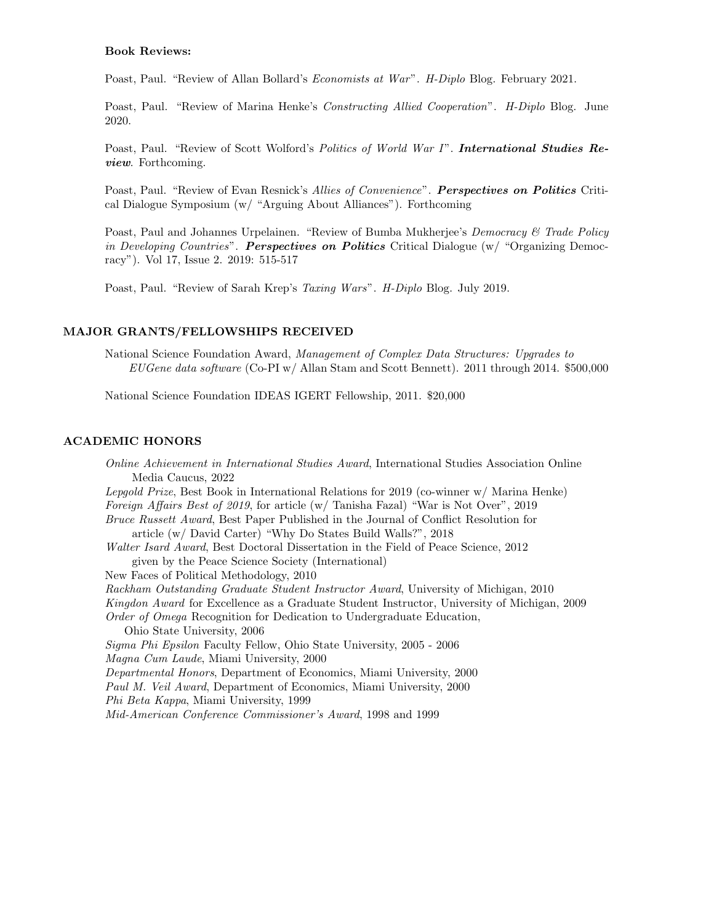### Book Reviews:

Poast, Paul. "Review of Allan Bollard's *Economists at War". H-Diplo* Blog. February 2021.

Poast, Paul. "Review of Marina Henke's *Constructing Allied Cooperation*". *H-Diplo* Blog. June 2020.

Poast, Paul. "Review of Scott Wolford's Politics of World War I". International Studies Review. Forthcoming.

Poast, Paul. "Review of Evan Resnick's Allies of Convenience". Perspectives on Politics Critical Dialogue Symposium (w/ "Arguing About Alliances"). Forthcoming

Poast, Paul and Johannes Urpelainen. "Review of Bumba Mukherjee's *Democracy & Trade Policy* in Developing Countries". Perspectives on Politics Critical Dialogue  $(w/$  "Organizing Democracy"). Vol 17, Issue 2. 2019: 515-517

Poast, Paul. "Review of Sarah Krep's Taxing Wars". H-Diplo Blog. July 2019.

#### MAJOR GRANTS/FELLOWSHIPS RECEIVED

National Science Foundation Award, Management of Complex Data Structures: Upgrades to EUGene data software (Co-PI w/ Allan Stam and Scott Bennett). 2011 through 2014. \$500,000

National Science Foundation IDEAS IGERT Fellowship, 2011. \$20,000

## ACADEMIC HONORS

Online Achievement in International Studies Award, International Studies Association Online Media Caucus, 2022 Lepgold Prize, Best Book in International Relations for 2019 (co-winner w/ Marina Henke) Foreign Affairs Best of 2019, for article (w/ Tanisha Fazal) "War is Not Over", 2019 Bruce Russett Award, Best Paper Published in the Journal of Conflict Resolution for article (w/ David Carter) "Why Do States Build Walls?", 2018 Walter Isard Award, Best Doctoral Dissertation in the Field of Peace Science, 2012 given by the Peace Science Society (International) New Faces of Political Methodology, 2010 Rackham Outstanding Graduate Student Instructor Award, University of Michigan, 2010 Kingdon Award for Excellence as a Graduate Student Instructor, University of Michigan, 2009 Order of Omega Recognition for Dedication to Undergraduate Education, Ohio State University, 2006 Sigma Phi Epsilon Faculty Fellow, Ohio State University, 2005 - 2006 Magna Cum Laude, Miami University, 2000 Departmental Honors, Department of Economics, Miami University, 2000 Paul M. Veil Award, Department of Economics, Miami University, 2000 Phi Beta Kappa, Miami University, 1999 Mid-American Conference Commissioner's Award, 1998 and 1999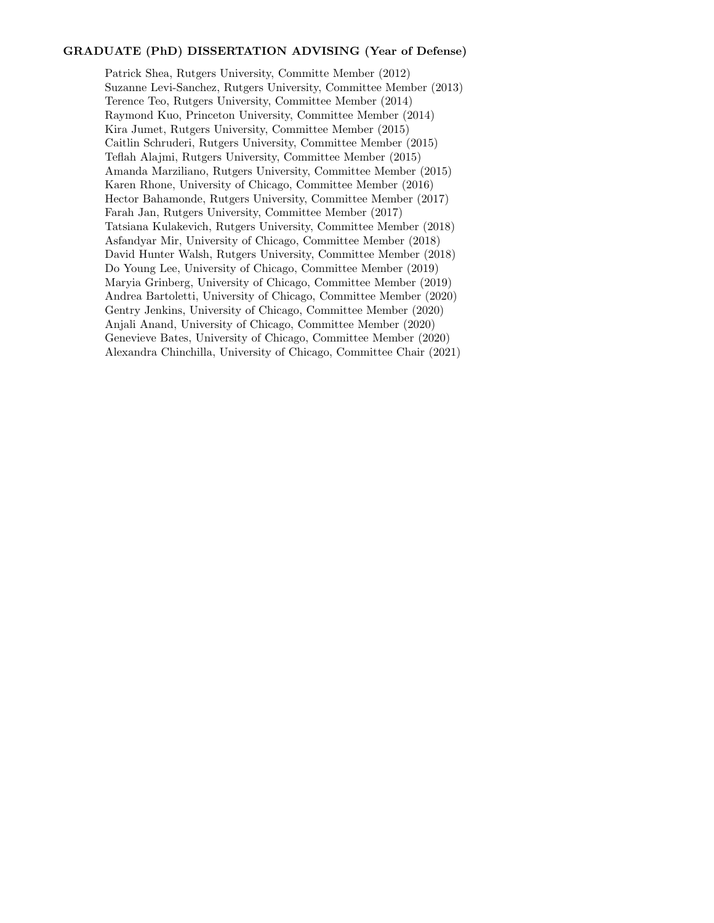# GRADUATE (PhD) DISSERTATION ADVISING (Year of Defense)

Patrick Shea, Rutgers University, Committe Member (2012) Suzanne Levi-Sanchez, Rutgers University, Committee Member (2013) Terence Teo, Rutgers University, Committee Member (2014) Raymond Kuo, Princeton University, Committee Member (2014) Kira Jumet, Rutgers University, Committee Member (2015) Caitlin Schruderi, Rutgers University, Committee Member (2015) Teflah Alajmi, Rutgers University, Committee Member (2015) Amanda Marziliano, Rutgers University, Committee Member (2015) Karen Rhone, University of Chicago, Committee Member (2016) Hector Bahamonde, Rutgers University, Committee Member (2017) Farah Jan, Rutgers University, Committee Member (2017) Tatsiana Kulakevich, Rutgers University, Committee Member (2018) Asfandyar Mir, University of Chicago, Committee Member (2018) David Hunter Walsh, Rutgers University, Committee Member (2018) Do Young Lee, University of Chicago, Committee Member (2019) Maryia Grinberg, University of Chicago, Committee Member (2019) Andrea Bartoletti, University of Chicago, Committee Member (2020) Gentry Jenkins, University of Chicago, Committee Member (2020) Anjali Anand, University of Chicago, Committee Member (2020) Genevieve Bates, University of Chicago, Committee Member (2020) Alexandra Chinchilla, University of Chicago, Committee Chair (2021)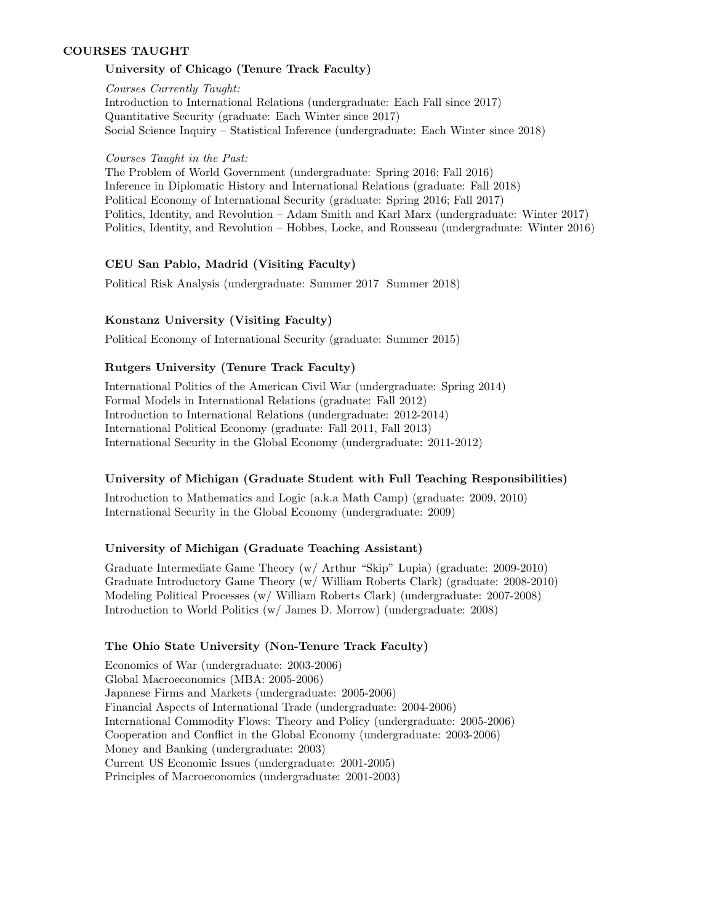# COURSES TAUGHT

# University of Chicago (Tenure Track Faculty)

Courses Currently Taught: Introduction to International Relations (undergraduate: Each Fall since 2017) Quantitative Security (graduate: Each Winter since 2017) Social Science Inquiry – Statistical Inference (undergraduate: Each Winter since 2018)

Courses Taught in the Past: The Problem of World Government (undergraduate: Spring 2016; Fall 2016) Inference in Diplomatic History and International Relations (graduate: Fall 2018) Political Economy of International Security (graduate: Spring 2016; Fall 2017) Politics, Identity, and Revolution – Adam Smith and Karl Marx (undergraduate: Winter 2017) Politics, Identity, and Revolution – Hobbes, Locke, and Rousseau (undergraduate: Winter 2016)

# CEU San Pablo, Madrid (Visiting Faculty)

Political Risk Analysis (undergraduate: Summer 2017 Summer 2018)

# Konstanz University (Visiting Faculty)

Political Economy of International Security (graduate: Summer 2015)

# Rutgers University (Tenure Track Faculty)

International Politics of the American Civil War (undergraduate: Spring 2014) Formal Models in International Relations (graduate: Fall 2012) Introduction to International Relations (undergraduate: 2012-2014) International Political Economy (graduate: Fall 2011, Fall 2013) International Security in the Global Economy (undergraduate: 2011-2012)

# University of Michigan (Graduate Student with Full Teaching Responsibilities)

Introduction to Mathematics and Logic (a.k.a Math Camp) (graduate: 2009, 2010) International Security in the Global Economy (undergraduate: 2009)

# University of Michigan (Graduate Teaching Assistant)

Graduate Intermediate Game Theory (w/ Arthur "Skip" Lupia) (graduate: 2009-2010) Graduate Introductory Game Theory (w/ William Roberts Clark) (graduate: 2008-2010) Modeling Political Processes (w/ William Roberts Clark) (undergraduate: 2007-2008) Introduction to World Politics (w/ James D. Morrow) (undergraduate: 2008)

# The Ohio State University (Non-Tenure Track Faculty)

Economics of War (undergraduate: 2003-2006) Global Macroeconomics (MBA: 2005-2006) Japanese Firms and Markets (undergraduate: 2005-2006) Financial Aspects of International Trade (undergraduate: 2004-2006) International Commodity Flows: Theory and Policy (undergraduate: 2005-2006) Cooperation and Conflict in the Global Economy (undergraduate: 2003-2006) Money and Banking (undergraduate: 2003) Current US Economic Issues (undergraduate: 2001-2005) Principles of Macroeconomics (undergraduate: 2001-2003)